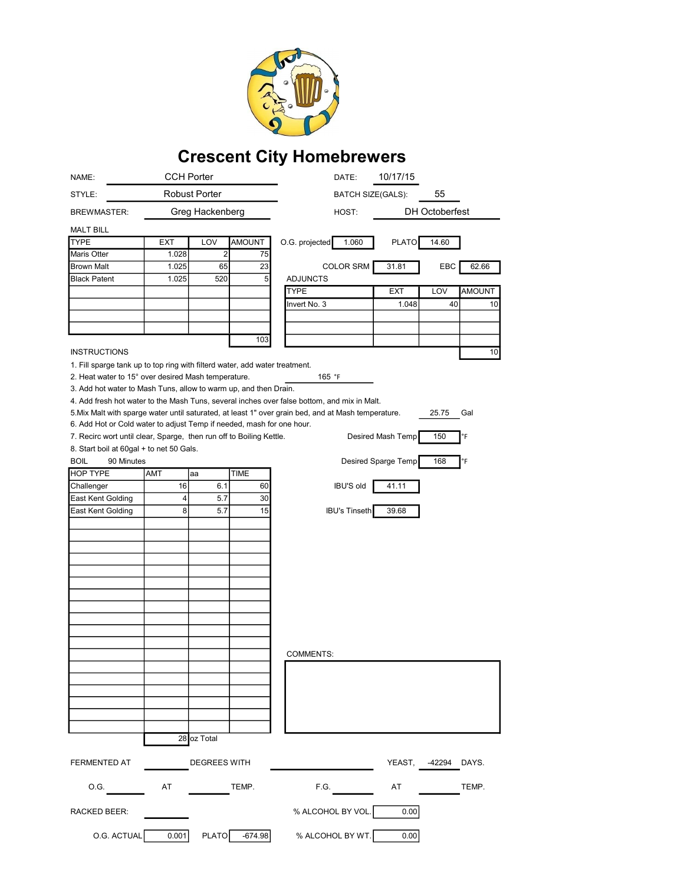

## Crescent City Homebrewers

| NAME:                                                                                                           |               | <b>CCH Porter</b>   |               | 10/17/15<br>DATE:                                                                                                   |
|-----------------------------------------------------------------------------------------------------------------|---------------|---------------------|---------------|---------------------------------------------------------------------------------------------------------------------|
| STYLE:                                                                                                          | Robust Porter |                     |               | 55<br><b>BATCH SIZE(GALS):</b>                                                                                      |
| <b>BREWMASTER:</b>                                                                                              |               | Greg Hackenberg     |               | <b>DH Octoberfest</b><br>HOST:                                                                                      |
| <b>MALT BILL</b>                                                                                                |               |                     |               |                                                                                                                     |
| <b>TYPE</b>                                                                                                     | <b>EXT</b>    | LOV                 | <b>AMOUNT</b> | O.G. projected<br>1.060<br><b>PLATO</b><br>14.60                                                                    |
| Maris Otter                                                                                                     | 1.028         | $\boldsymbol{2}$    | 75            |                                                                                                                     |
| <b>Brown Malt</b>                                                                                               | 1.025         | 65                  | 23            | <b>COLOR SRM</b><br>31.81<br>EBC<br>62.66                                                                           |
| <b>Black Patent</b>                                                                                             | 1.025         | 520                 |               | 5<br><b>ADJUNCTS</b>                                                                                                |
|                                                                                                                 |               |                     |               | <b>TYPE</b><br><b>EXT</b><br>LOV<br>AMOUNT                                                                          |
|                                                                                                                 |               |                     |               | 1.048<br>40<br>Invert No. 3<br>10                                                                                   |
|                                                                                                                 |               |                     |               |                                                                                                                     |
|                                                                                                                 |               |                     |               |                                                                                                                     |
|                                                                                                                 |               |                     | 103           |                                                                                                                     |
| <b>INSTRUCTIONS</b>                                                                                             |               |                     |               | 10                                                                                                                  |
| 1. Fill sparge tank up to top ring with filterd water, add water treatment.                                     |               |                     |               |                                                                                                                     |
| 2. Heat water to 15° over desired Mash temperature.<br>165 °F                                                   |               |                     |               |                                                                                                                     |
| 3. Add hot water to Mash Tuns, allow to warm up, and then Drain.                                                |               |                     |               |                                                                                                                     |
|                                                                                                                 |               |                     |               | 4. Add fresh hot water to the Mash Tuns, several inches over false bottom, and mix in Malt.                         |
| 6. Add Hot or Cold water to adjust Temp if needed, mash for one hour.                                           |               |                     |               | 5. Mix Malt with sparge water until saturated, at least 1" over grain bed, and at Mash temperature.<br>25.75<br>Gal |
|                                                                                                                 |               |                     |               | Desired Mash Temp<br>150<br>°F                                                                                      |
| 7. Recirc wort until clear, Sparge, then run off to Boiling Kettle.<br>8. Start boil at 60gal + to net 50 Gals. |               |                     |               |                                                                                                                     |
| <b>BOIL</b><br>90 Minutes                                                                                       |               |                     |               | Desired Sparge Temp<br>168<br>°F                                                                                    |
| <b>HOP TYPE</b>                                                                                                 | AMT           | aa                  | <b>TIME</b>   |                                                                                                                     |
| Challenger                                                                                                      | 16            | 6.1                 | 60            | <b>IBU'S old</b><br>41.11                                                                                           |
| East Kent Golding                                                                                               | 4             | 5.7                 | 30            |                                                                                                                     |
| East Kent Golding                                                                                               | 8             | 5.7                 | 15            | <b>IBU's Tinseth</b><br>39.68                                                                                       |
|                                                                                                                 |               |                     |               |                                                                                                                     |
|                                                                                                                 |               |                     |               |                                                                                                                     |
|                                                                                                                 |               |                     |               |                                                                                                                     |
|                                                                                                                 |               |                     |               |                                                                                                                     |
|                                                                                                                 |               |                     |               |                                                                                                                     |
|                                                                                                                 |               |                     |               |                                                                                                                     |
|                                                                                                                 |               |                     |               |                                                                                                                     |
|                                                                                                                 |               |                     |               |                                                                                                                     |
|                                                                                                                 |               |                     |               |                                                                                                                     |
|                                                                                                                 |               |                     |               |                                                                                                                     |
|                                                                                                                 |               |                     |               |                                                                                                                     |
|                                                                                                                 |               |                     |               | <b>COMMENTS:</b>                                                                                                    |
|                                                                                                                 |               |                     |               |                                                                                                                     |
|                                                                                                                 |               |                     |               |                                                                                                                     |
|                                                                                                                 |               |                     |               |                                                                                                                     |
|                                                                                                                 |               |                     |               |                                                                                                                     |
|                                                                                                                 |               |                     |               |                                                                                                                     |
|                                                                                                                 |               |                     |               |                                                                                                                     |
|                                                                                                                 |               | 28 oz Total         |               |                                                                                                                     |
| FERMENTED AT                                                                                                    |               | <b>DEGREES WITH</b> |               | YEAST, -42294 DAYS.                                                                                                 |
| 0.G.                                                                                                            | AT            |                     | TEMP.         | F.G.<br>AT<br>TEMP.                                                                                                 |
| RACKED BEER:                                                                                                    |               |                     |               | % ALCOHOL BY VOL.<br>0.00                                                                                           |
| O.G. ACTUAL                                                                                                     | 0.001         | <b>PLATO</b>        | $-674.98$     | % ALCOHOL BY WT.<br>0.00                                                                                            |